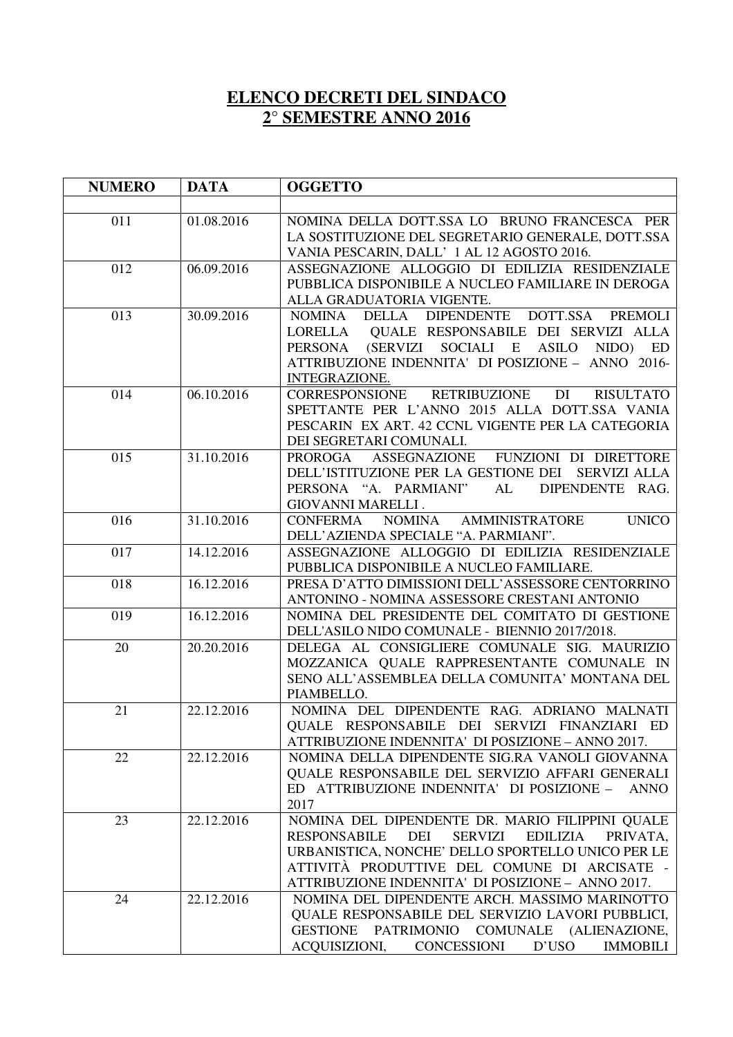## **ELENCO DECRETI DEL SINDACO 2° SEMESTRE ANNO 2016**

| <b>NUMERO</b> | <b>DATA</b> | <b>OGGETTO</b>                                                                                                                                                                                                                                                                           |
|---------------|-------------|------------------------------------------------------------------------------------------------------------------------------------------------------------------------------------------------------------------------------------------------------------------------------------------|
|               |             |                                                                                                                                                                                                                                                                                          |
| 011           | 01.08.2016  | NOMINA DELLA DOTT.SSA LO BRUNO FRANCESCA PER<br>LA SOSTITUZIONE DEL SEGRETARIO GENERALE, DOTT.SSA<br>VANIA PESCARIN, DALL' 1 AL 12 AGOSTO 2016.                                                                                                                                          |
| 012           | 06.09.2016  | ASSEGNAZIONE ALLOGGIO DI EDILIZIA RESIDENZIALE<br>PUBBLICA DISPONIBILE A NUCLEO FAMILIARE IN DEROGA<br>ALLA GRADUATORIA VIGENTE.                                                                                                                                                         |
| 013           | 30.09.2016  | DOTT.SSA<br>DELLA DIPENDENTE<br><b>PREMOLI</b><br><b>NOMINA</b><br>QUALE RESPONSABILE DEI SERVIZI ALLA<br>LORELLA<br>(SERVIZI SOCIALI E<br><b>ASILO</b><br>NIDO)<br><b>ED</b><br><b>PERSONA</b><br>ATTRIBUZIONE INDENNITA' DI POSIZIONE - ANNO 2016-<br><b>INTEGRAZIONE.</b>             |
| 014           | 06.10.2016  | RETRIBUZIONE<br>DI<br><b>RISULTATO</b><br>CORRESPONSIONE<br>SPETTANTE PER L'ANNO 2015 ALLA DOTT.SSA VANIA<br>PESCARIN EX ART. 42 CCNL VIGENTE PER LA CATEGORIA<br>DEI SEGRETARI COMUNALI.                                                                                                |
| 015           | 31.10.2016  | FUNZIONI DI DIRETTORE<br>PROROGA<br>ASSEGNAZIONE<br>DELL'ISTITUZIONE PER LA GESTIONE DEI SERVIZI ALLA<br>PERSONA "A. PARMIANI"<br>AL<br>DIPENDENTE RAG.<br><b>GIOVANNI MARELLI.</b>                                                                                                      |
| 016           | 31.10.2016  | <b>UNICO</b><br><b>NOMINA</b><br><b>AMMINISTRATORE</b><br>CONFERMA<br>DELL'AZIENDA SPECIALE "A. PARMIANI".                                                                                                                                                                               |
| 017           | 14.12.2016  | ASSEGNAZIONE ALLOGGIO DI EDILIZIA RESIDENZIALE<br>PUBBLICA DISPONIBILE A NUCLEO FAMILIARE.                                                                                                                                                                                               |
| 018           | 16.12.2016  | PRESA D'ATTO DIMISSIONI DELL'ASSESSORE CENTORRINO<br>ANTONINO - NOMINA ASSESSORE CRESTANI ANTONIO                                                                                                                                                                                        |
| 019           | 16.12.2016  | NOMINA DEL PRESIDENTE DEL COMITATO DI GESTIONE<br>DELL'ASILO NIDO COMUNALE - BIENNIO 2017/2018.                                                                                                                                                                                          |
| 20            | 20.20.2016  | DELEGA AL CONSIGLIERE COMUNALE SIG. MAURIZIO<br>MOZZANICA QUALE RAPPRESENTANTE COMUNALE IN<br>SENO ALL'ASSEMBLEA DELLA COMUNITA' MONTANA DEL<br>PIAMBELLO.                                                                                                                               |
| 21            | 22.12.2016  | NOMINA DEL DIPENDENTE RAG. ADRIANO MALNATI<br>QUALE RESPONSABILE DEI SERVIZI FINANZIARI ED<br>ATTRIBUZIONE INDENNITA' DI POSIZIONE - ANNO 2017.                                                                                                                                          |
| 22            | 22.12.2016  | NOMINA DELLA DIPENDENTE SIG.RA VANOLI GIOVANNA<br>QUALE RESPONSABILE DEL SERVIZIO AFFARI GENERALI<br>ED ATTRIBUZIONE INDENNITA' DI POSIZIONE -<br><b>ANNO</b><br>2017                                                                                                                    |
| 23            | 22.12.2016  | NOMINA DEL DIPENDENTE DR. MARIO FILIPPINI QUALE<br>DEI<br><b>SERVIZI</b><br><b>RESPONSABILE</b><br><b>EDILIZIA</b><br>PRIVATA,<br>URBANISTICA, NONCHE' DELLO SPORTELLO UNICO PER LE<br>ATTIVITÀ PRODUTTIVE DEL COMUNE DI ARCISATE -<br>ATTRIBUZIONE INDENNITA' DI POSIZIONE - ANNO 2017. |
| 24            | 22.12.2016  | NOMINA DEL DIPENDENTE ARCH. MASSIMO MARINOTTO<br>QUALE RESPONSABILE DEL SERVIZIO LAVORI PUBBLICI,<br>GESTIONE PATRIMONIO COMUNALE (ALIENAZIONE,<br>ACQUISIZIONI, CONCESSIONI D'USO<br><b>IMMOBILI</b>                                                                                    |